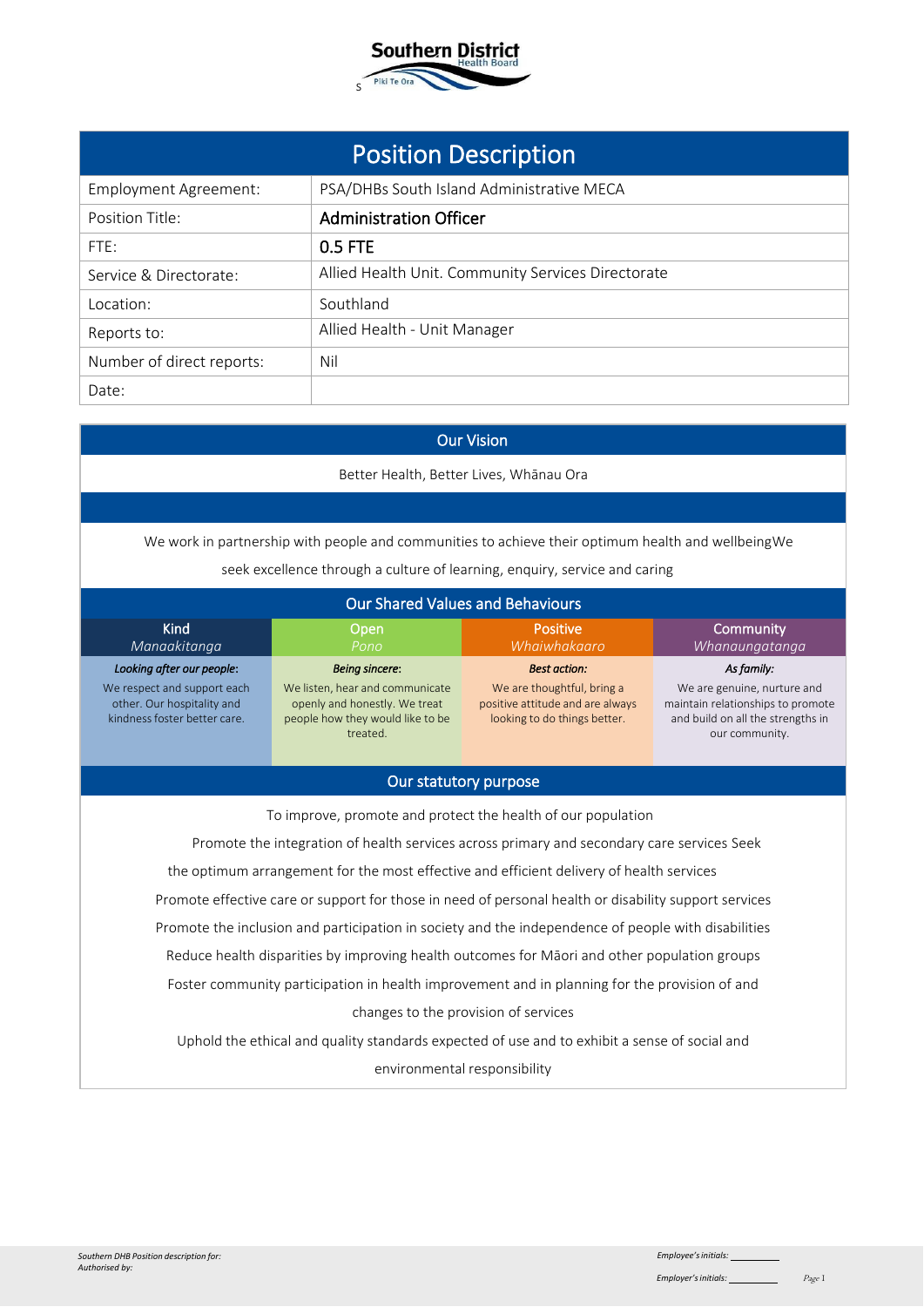

| <b>Position Description</b>  |                                                    |  |  |
|------------------------------|----------------------------------------------------|--|--|
| <b>Employment Agreement:</b> | PSA/DHBs South Island Administrative MECA          |  |  |
| Position Title:              | <b>Administration Officer</b>                      |  |  |
| FTE:                         | 0.5 FTE                                            |  |  |
| Service & Directorate:       | Allied Health Unit. Community Services Directorate |  |  |
| Location:                    | Southland                                          |  |  |
| Reports to:                  | Allied Health - Unit Manager                       |  |  |
| Number of direct reports:    | Nil                                                |  |  |
| Date:                        |                                                    |  |  |
|                              |                                                    |  |  |

# Our Vision

Better Health, Better Lives, Whānau Ora

We work in partnership with people and communities to achieve their optimum health and wellbeingWe

| seek excellence through a culture of learning, enquiry, service and caring |  |  |  |
|----------------------------------------------------------------------------|--|--|--|
|                                                                            |  |  |  |
|                                                                            |  |  |  |
|                                                                            |  |  |  |
|                                                                            |  |  |  |

| <b>Our Shared Values and Behaviours</b>                                                   |                                                                                                                  |                                                                                                |                                                                                                                         |
|-------------------------------------------------------------------------------------------|------------------------------------------------------------------------------------------------------------------|------------------------------------------------------------------------------------------------|-------------------------------------------------------------------------------------------------------------------------|
| Kind<br>Manaakitanga                                                                      | Open<br>Pono                                                                                                     | <b>Positive</b><br>Whaiwhakaaro                                                                | Community<br>Whanaungatanga                                                                                             |
| Looking after our people:                                                                 | <b>Being sincere:</b>                                                                                            | <b>Best action:</b>                                                                            | As family:                                                                                                              |
| We respect and support each<br>other. Our hospitality and<br>kindness foster better care. | We listen, hear and communicate<br>openly and honestly. We treat<br>people how they would like to be<br>treated. | We are thoughtful, bring a<br>positive attitude and are always<br>looking to do things better. | We are genuine, nurture and<br>maintain relationships to promote<br>and build on all the strengths in<br>our community. |

## Our statutory purpose

To improve, promote and protect the health of our population

Promote the integration of health services across primary and secondary care services Seek

the optimum arrangement for the most effective and efficient delivery of health services

Promote effective care or support for those in need of personal health or disability support services

Promote the inclusion and participation in society and the independence of people with disabilities

Reduce health disparities by improving health outcomes for Māori and other population groups

Foster community participation in health improvement and in planning for the provision of and changes to the provision of services

Uphold the ethical and quality standards expected of use and to exhibit a sense of social and environmental responsibility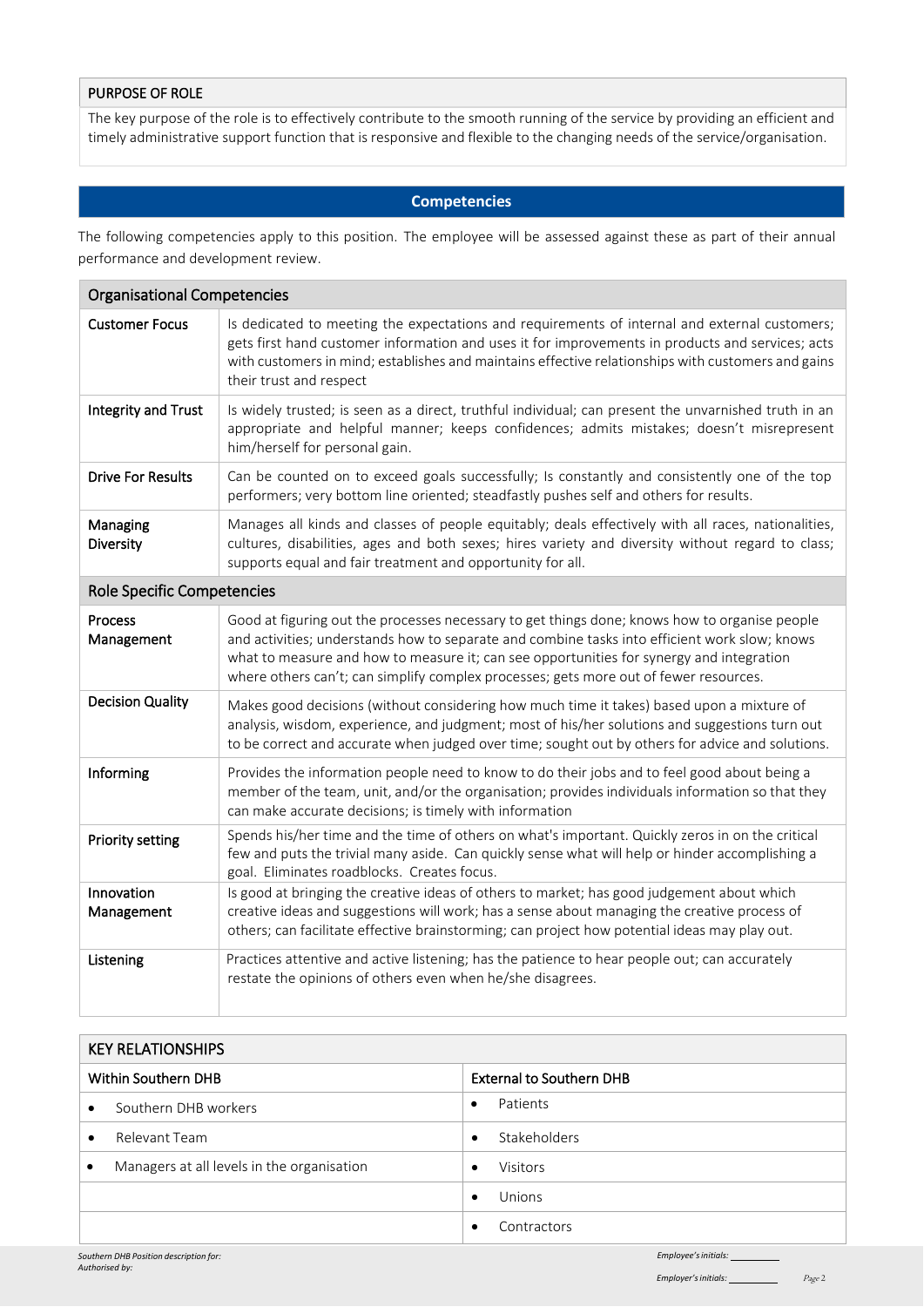### PURPOSE OF ROLE

The key purpose of the role is to effectively contribute to the smooth running of the service by providing an efficient and timely administrative support function that is responsive and flexible to the changing needs of the service/organisation.

## **Competencies**

The following competencies apply to this position. The employee will be assessed against these as part of their annual performance and development review.

| <b>Organisational Competencies</b> |                                                                                                                                                                                                                                                                                                                                                                                     |  |  |
|------------------------------------|-------------------------------------------------------------------------------------------------------------------------------------------------------------------------------------------------------------------------------------------------------------------------------------------------------------------------------------------------------------------------------------|--|--|
| <b>Customer Focus</b>              | Is dedicated to meeting the expectations and requirements of internal and external customers;<br>gets first hand customer information and uses it for improvements in products and services; acts<br>with customers in mind; establishes and maintains effective relationships with customers and gains<br>their trust and respect                                                  |  |  |
| Integrity and Trust                | Is widely trusted; is seen as a direct, truthful individual; can present the unvarnished truth in an<br>appropriate and helpful manner; keeps confidences; admits mistakes; doesn't misrepresent<br>him/herself for personal gain.                                                                                                                                                  |  |  |
| <b>Drive For Results</b>           | Can be counted on to exceed goals successfully; Is constantly and consistently one of the top<br>performers; very bottom line oriented; steadfastly pushes self and others for results.                                                                                                                                                                                             |  |  |
| Managing<br>Diversity              | Manages all kinds and classes of people equitably; deals effectively with all races, nationalities,<br>cultures, disabilities, ages and both sexes; hires variety and diversity without regard to class;<br>supports equal and fair treatment and opportunity for all.                                                                                                              |  |  |
| <b>Role Specific Competencies</b>  |                                                                                                                                                                                                                                                                                                                                                                                     |  |  |
| Process<br>Management              | Good at figuring out the processes necessary to get things done; knows how to organise people<br>and activities; understands how to separate and combine tasks into efficient work slow; knows<br>what to measure and how to measure it; can see opportunities for synergy and integration<br>where others can't; can simplify complex processes; gets more out of fewer resources. |  |  |
| <b>Decision Quality</b>            | Makes good decisions (without considering how much time it takes) based upon a mixture of<br>analysis, wisdom, experience, and judgment; most of his/her solutions and suggestions turn out<br>to be correct and accurate when judged over time; sought out by others for advice and solutions.                                                                                     |  |  |
| Informing                          | Provides the information people need to know to do their jobs and to feel good about being a<br>member of the team, unit, and/or the organisation; provides individuals information so that they<br>can make accurate decisions; is timely with information                                                                                                                         |  |  |
| <b>Priority setting</b>            | Spends his/her time and the time of others on what's important. Quickly zeros in on the critical<br>few and puts the trivial many aside. Can quickly sense what will help or hinder accomplishing a<br>goal. Eliminates roadblocks. Creates focus.                                                                                                                                  |  |  |
| Innovation<br>Management           | Is good at bringing the creative ideas of others to market; has good judgement about which<br>creative ideas and suggestions will work; has a sense about managing the creative process of<br>others; can facilitate effective brainstorming; can project how potential ideas may play out.                                                                                         |  |  |
| Listening                          | Practices attentive and active listening; has the patience to hear people out; can accurately<br>restate the opinions of others even when he/she disagrees.                                                                                                                                                                                                                         |  |  |

| <b>KEY RELATIONSHIPS</b>   |                                            |                                 |                     |
|----------------------------|--------------------------------------------|---------------------------------|---------------------|
| <b>Within Southern DHB</b> |                                            | <b>External to Southern DHB</b> |                     |
| $\bullet$                  | Southern DHB workers                       | $\bullet$                       | Patients            |
| $\bullet$                  | Relevant Team                              | $\bullet$                       | <b>Stakeholders</b> |
| $\bullet$                  | Managers at all levels in the organisation | $\bullet$                       | <b>Visitors</b>     |
|                            |                                            | $\bullet$                       | Unions              |
|                            |                                            |                                 | Contractors         |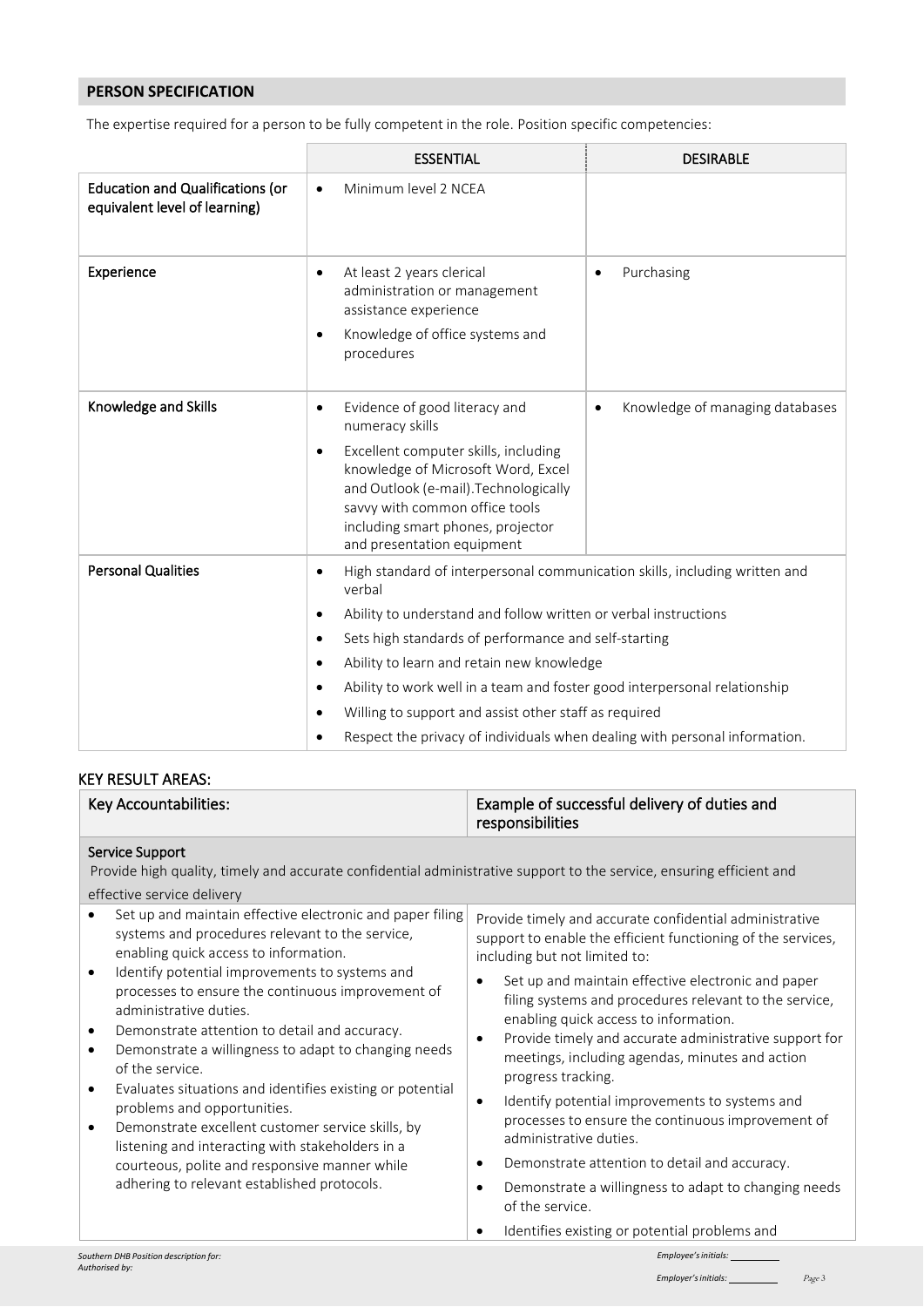# **PERSON SPECIFICATION**

The expertise required for a person to be fully competent in the role. Position specific competencies:

|                                                                          | <b>ESSENTIAL</b>                                                                                                                                                                                                                                                                                                                                                                                                                                                                 | <b>DESIRABLE</b>                             |
|--------------------------------------------------------------------------|----------------------------------------------------------------------------------------------------------------------------------------------------------------------------------------------------------------------------------------------------------------------------------------------------------------------------------------------------------------------------------------------------------------------------------------------------------------------------------|----------------------------------------------|
| <b>Education and Qualifications (or</b><br>equivalent level of learning) | Minimum level 2 NCEA                                                                                                                                                                                                                                                                                                                                                                                                                                                             |                                              |
| Experience                                                               | At least 2 years clerical<br>٠<br>administration or management<br>assistance experience<br>Knowledge of office systems and<br>٠<br>procedures                                                                                                                                                                                                                                                                                                                                    | Purchasing<br>$\bullet$                      |
| Knowledge and Skills                                                     | Evidence of good literacy and<br>$\bullet$<br>numeracy skills<br>Excellent computer skills, including<br>$\bullet$<br>knowledge of Microsoft Word, Excel<br>and Outlook (e-mail). Technologically<br>savvy with common office tools<br>including smart phones, projector<br>and presentation equipment                                                                                                                                                                           | Knowledge of managing databases<br>$\bullet$ |
| <b>Personal Qualities</b>                                                | High standard of interpersonal communication skills, including written and<br>verbal<br>Ability to understand and follow written or verbal instructions<br>Sets high standards of performance and self-starting<br>Ability to learn and retain new knowledge<br>Ability to work well in a team and foster good interpersonal relationship<br>Willing to support and assist other staff as required<br>Respect the privacy of individuals when dealing with personal information. |                                              |

## KEY RESULT AREAS:

| Key Accountabilities:                                                                                                                                                                                                                                                                                                                                                                                                                                                                                                                                                                                                           | Example of successful delivery of duties and<br>responsibilities                                                                                                                                                                                                                                                                                                                                                                                                                                                                                                                                                       |  |  |
|---------------------------------------------------------------------------------------------------------------------------------------------------------------------------------------------------------------------------------------------------------------------------------------------------------------------------------------------------------------------------------------------------------------------------------------------------------------------------------------------------------------------------------------------------------------------------------------------------------------------------------|------------------------------------------------------------------------------------------------------------------------------------------------------------------------------------------------------------------------------------------------------------------------------------------------------------------------------------------------------------------------------------------------------------------------------------------------------------------------------------------------------------------------------------------------------------------------------------------------------------------------|--|--|
| Service Support<br>Provide high quality, timely and accurate confidential administrative support to the service, ensuring efficient and<br>effective service delivery                                                                                                                                                                                                                                                                                                                                                                                                                                                           |                                                                                                                                                                                                                                                                                                                                                                                                                                                                                                                                                                                                                        |  |  |
| Set up and maintain effective electronic and paper filing<br>systems and procedures relevant to the service,<br>enabling quick access to information.                                                                                                                                                                                                                                                                                                                                                                                                                                                                           | Provide timely and accurate confidential administrative<br>support to enable the efficient functioning of the services,<br>including but not limited to:                                                                                                                                                                                                                                                                                                                                                                                                                                                               |  |  |
| Identify potential improvements to systems and<br>$\bullet$<br>processes to ensure the continuous improvement of<br>administrative duties.<br>Demonstrate attention to detail and accuracy.<br>$\bullet$<br>Demonstrate a willingness to adapt to changing needs<br>$\bullet$<br>of the service.<br>Evaluates situations and identifies existing or potential<br>$\bullet$<br>problems and opportunities.<br>Demonstrate excellent customer service skills, by<br>$\bullet$<br>listening and interacting with stakeholders in a<br>courteous, polite and responsive manner while<br>adhering to relevant established protocols. | Set up and maintain effective electronic and paper<br>$\bullet$<br>filing systems and procedures relevant to the service,<br>enabling quick access to information.<br>Provide timely and accurate administrative support for<br>$\bullet$<br>meetings, including agendas, minutes and action<br>progress tracking.<br>Identify potential improvements to systems and<br>$\bullet$<br>processes to ensure the continuous improvement of<br>administrative duties.<br>Demonstrate attention to detail and accuracy.<br>$\bullet$<br>Demonstrate a willingness to adapt to changing needs<br>$\bullet$<br>of the service. |  |  |
|                                                                                                                                                                                                                                                                                                                                                                                                                                                                                                                                                                                                                                 | Identifies existing or potential problems and                                                                                                                                                                                                                                                                                                                                                                                                                                                                                                                                                                          |  |  |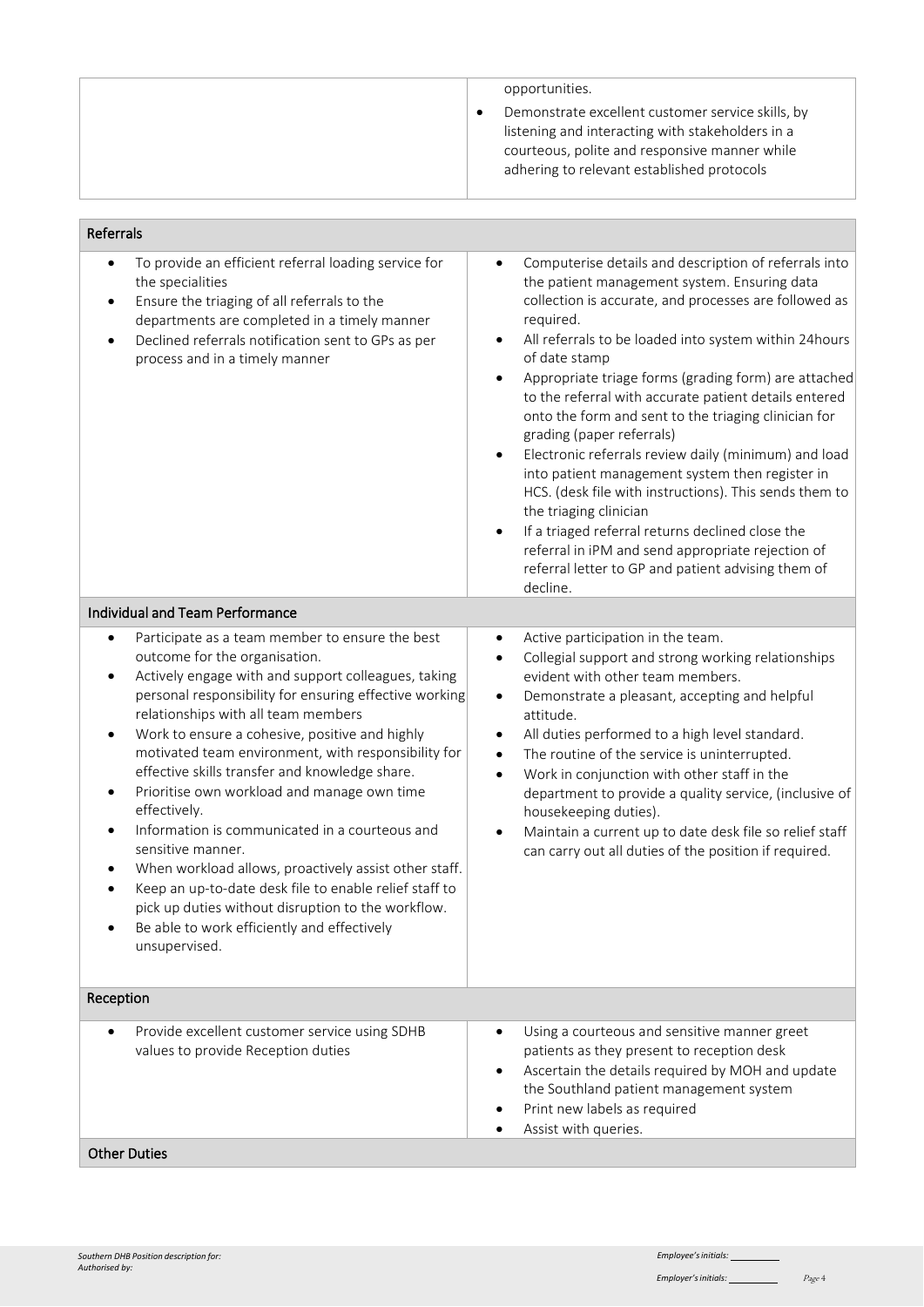| opportunities.<br>Demonstrate excellent customer service skills, by<br>listening and interacting with stakeholders in a<br>courteous, polite and responsive manner while<br>adhering to relevant established protocols |
|------------------------------------------------------------------------------------------------------------------------------------------------------------------------------------------------------------------------|
|                                                                                                                                                                                                                        |

#### Referrals • To provide an efficient referral loading service for the specialities • Ensure the triaging of all referrals to the departments are completed in a timely manner • Declined referrals notification sent to GPs as per process and in a timely manner • Computerise details and description of referrals into the patient management system. Ensuring data collection is accurate, and processes are followed as required. All referrals to be loaded into system within 24hours of date stamp Appropriate triage forms (grading form) are attached to the referral with accurate patient details entered onto the form and sent to the triaging clinician for grading (paper referrals) • Electronic referrals review daily (minimum) and load into patient management system then register in HCS. (desk file with instructions). This sends them to the triaging clinician If a triaged referral returns declined close the referral in iPM and send appropriate rejection of referral letter to GP and patient advising them of decline. Individual and Team Performance Participate as a team member to ensure the best outcome for the organisation. • Actively engage with and support colleagues, taking personal responsibility for ensuring effective working relationships with all team members • Work to ensure a cohesive, positive and highly motivated team environment, with responsibility for effective skills transfer and knowledge share. • Prioritise own workload and manage own time effectively. • Information is communicated in a courteous and sensitive manner. When workload allows, proactively assist other staff. • Keep an up-to-date desk file to enable relief staff to pick up duties without disruption to the workflow. Be able to work efficiently and effectively unsupervised. • Active participation in the team. • Collegial support and strong working relationships evident with other team members. • Demonstrate a pleasant, accepting and helpful attitude. • All duties performed to a high level standard. The routine of the service is uninterrupted. • Work in conjunction with other staff in the department to provide a quality service, (inclusive of housekeeping duties). • Maintain a current up to date desk file so relief staff can carry out all duties of the position if required. Reception • Provide excellent customer service using SDHB values to provide Reception duties Using a courteous and sensitive manner greet patients as they present to reception desk • Ascertain the details required by MOH and update the Southland patient management system Print new labels as required Assist with queries. Other Duties